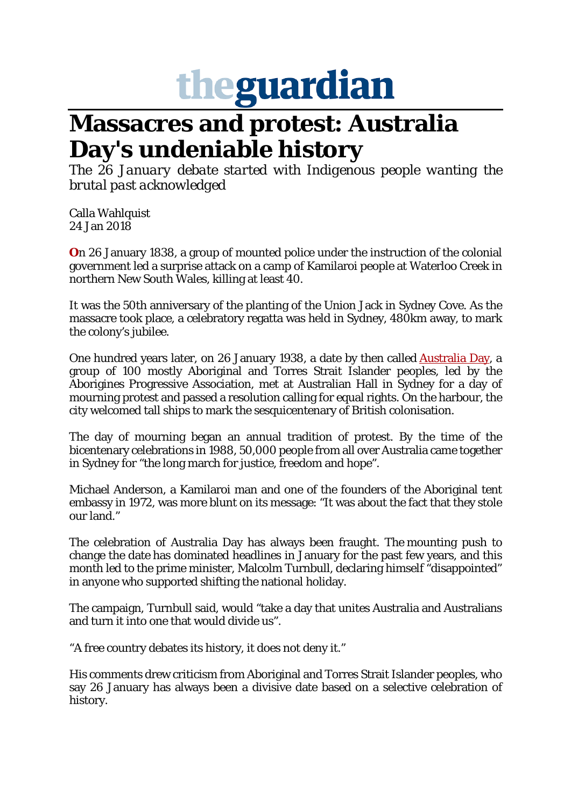## theguardian

## **Massacres and protest: Australia Day's undeniable history**

*The 26 January debate started with Indigenous people wanting the brutal past acknowledged*

Calla Wahlquist 24 Jan 2018

**O**n 26 January 1838, a group of mounted police under the instruction of the colonial government led a surprise attack on a camp of Kamilaroi people at Waterloo Creek in northern New South Wales, killing at least 40.

It was the 50th anniversary of the planting of the Union Jack in Sydney Cove. As the massacre took place, a celebratory regatta was held in Sydney, 480km away, to mark the colony's jubilee.

One hundred years later, on 26 January 1938, a date by then called [Australia Day,](https://www.theguardian.com/australia-news/australia-day) a group of 100 mostly Aboriginal and Torres Strait Islander peoples, led by the Aborigines Progressive Association, met at Australian Hall in Sydney for a day of mourning protest and passed a resolution calling for equal rights. On the harbour, the city welcomed tall ships to mark the sesquicentenary of British colonisation.

The day of mourning began an annual tradition of protest. By the time of the bicentenary celebrations in 1988, 50,000 people from all over Australia came together in Sydney for "the long march for justice, freedom and hope".

Michael Anderson, a Kamilaroi man and one of the founders of the Aboriginal tent embassy in 1972, was more blunt on its message: "It was about the fact that they stole our land."

The celebration of Australia Day has always been fraught. The mounting push to change the date has dominated headlines in January for the past few years, and this month led to the prime minister, Malcolm Turnbull, declaring himself "disappointed" in anyone who supported shifting the national holiday.

The campaign, Turnbull said, would "take a day that unites Australia and Australians and turn it into one that would divide us".

"A free country debates its history, it does not deny it."

His comments drew criticism from Aboriginal and Torres Strait Islander peoples, who say 26 January has always been a divisive date based on a selective celebration of history.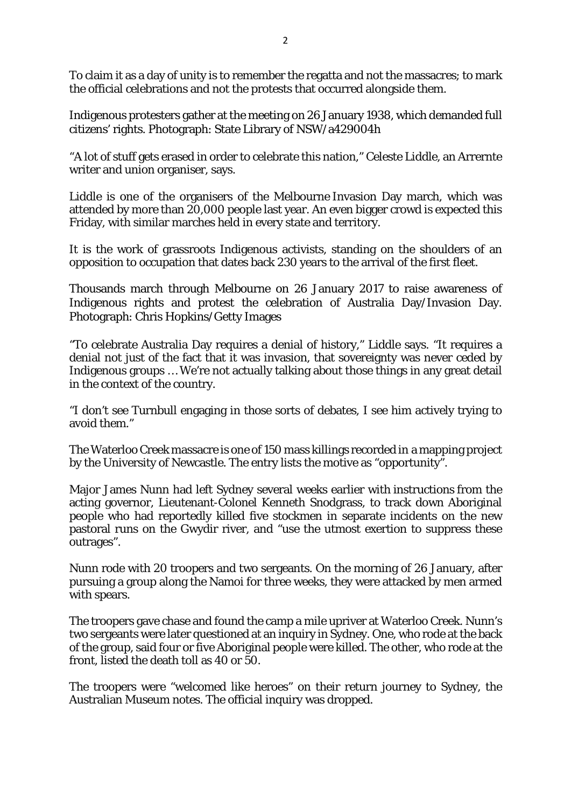To claim it as a day of unity is to remember the regatta and not the massacres; to mark the official celebrations and not the protests that occurred alongside them.

Indigenous protesters gather at the meeting on 26 January 1938, which demanded full citizens' rights. Photograph: State Library of NSW/a429004h

"A lot of stuff gets erased in order to celebrate this nation," Celeste Liddle, an Arrernte writer and union organiser, says.

Liddle is one of the organisers of the Melbourne Invasion Day march, which was attended by more than 20,000 people last year. An even bigger crowd is expected this Friday, with similar marches held in every state and territory.

It is the work of grassroots Indigenous activists, standing on the shoulders of an opposition to occupation that dates back 230 years to the arrival of the first fleet.

Thousands march through Melbourne on 26 January 2017 to raise awareness of Indigenous rights and protest the celebration of Australia Day/Invasion Day. Photograph: Chris Hopkins/Getty Images

"To celebrate Australia Day requires a denial of history," Liddle says. "It requires a denial not just of the fact that it was invasion, that sovereignty was never ceded by Indigenous groups … We're not actually talking about those things in any great detail in the context of the country.

"I don't see Turnbull engaging in those sorts of debates, I see him actively trying to avoid them."

The Waterloo Creek massacre is one of 150 mass killings recorded in a mapping project by the University of Newcastle. The entry lists the motive as "opportunity".

Major James Nunn had left Sydney several weeks earlier with instructions from the acting governor, Lieutenant-Colonel Kenneth Snodgrass, to track down Aboriginal people who had reportedly killed five stockmen in separate incidents on the new pastoral runs on the Gwydir river, and "use the utmost exertion to suppress these outrages".

Nunn rode with 20 troopers and two sergeants. On the morning of 26 January, after pursuing a group along the Namoi for three weeks, they were attacked by men armed with spears.

The troopers gave chase and found the camp a mile upriver at Waterloo Creek. Nunn's two sergeants were later questioned at an inquiry in Sydney. One, who rode at the back of the group, said four or five Aboriginal people were killed. The other, who rode at the front, listed the death toll as 40 or 50.

The troopers were "welcomed like heroes" on their return journey to Sydney, the Australian Museum notes. The official inquiry was dropped.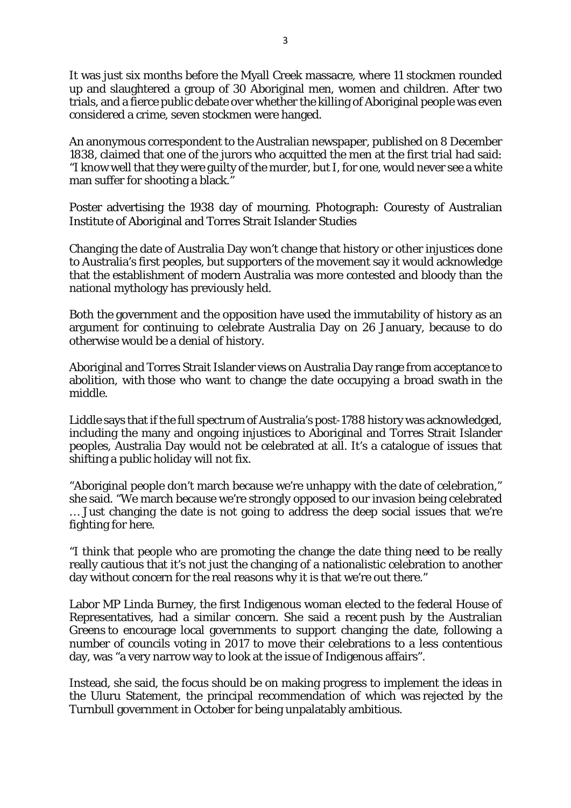It was just six months before the Myall Creek massacre, where 11 stockmen rounded up and slaughtered a group of 30 Aboriginal men, women and children. After two trials, and a fierce public debate over whether the killing of Aboriginal people was even considered a crime, seven stockmen were hanged.

An anonymous correspondent to the Australian newspaper, published on 8 December 1838, claimed that one of the jurors who acquitted the men at the first trial had said: "I know well that they were guilty of the murder, but I, for one, would never see a white man suffer for shooting a black."

Poster advertising the 1938 day of mourning. Photograph: Couresty of Australian Institute of Aboriginal and Torres Strait Islander Studies

Changing the date of Australia Day won't change that history or other injustices done to Australia's first peoples, but supporters of the movement say it would acknowledge that the establishment of modern Australia was more contested and bloody than the national mythology has previously held.

Both the government and the opposition have used the immutability of history as an argument for continuing to celebrate Australia Day on 26 January, because to do otherwise would be a denial of history.

Aboriginal and Torres Strait Islander views on Australia Day range from acceptance to abolition, with those who want to change the date occupying a broad swath in the middle.

Liddle says that if the full spectrum of Australia's post-1788 history was acknowledged, including the many and ongoing injustices to Aboriginal and Torres Strait Islander peoples, Australia Day would not be celebrated at all. It's a catalogue of issues that shifting a public holiday will not fix.

"Aboriginal people don't march because we're unhappy with the date of celebration," she said. "We march because we're strongly opposed to our invasion being celebrated … Just changing the date is not going to address the deep social issues that we're fighting for here.

"I think that people who are promoting the change the date thing need to be really really cautious that it's not just the changing of a nationalistic celebration to another day without concern for the real reasons why it is that we're out there."

Labor MP Linda Burney, the first Indigenous woman elected to the federal House of Representatives, had a similar concern. She said a recent push by the Australian Greens to encourage local governments to support changing the date, following a number of councils voting in 2017 to move their celebrations to a less contentious day, was "a very narrow way to look at the issue of Indigenous affairs".

Instead, she said, the focus should be on making progress to implement the ideas in the Uluru Statement, the principal recommendation of which was rejected by the Turnbull government in October for being unpalatably ambitious.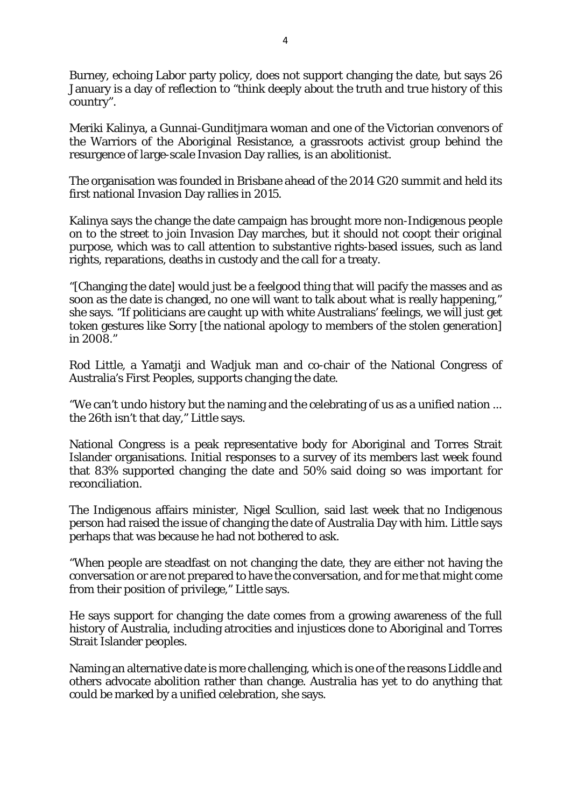Burney, echoing Labor party policy, does not support changing the date, but says 26 January is a day of reflection to "think deeply about the truth and true history of this country".

Meriki Kalinya, a Gunnai-Gunditjmara woman and one of the Victorian convenors of the Warriors of the Aboriginal Resistance, a grassroots activist group behind the resurgence of large-scale Invasion Day rallies, is an abolitionist.

The organisation was founded in Brisbane ahead of the 2014 G20 summit and held its first national Invasion Day rallies in 2015.

Kalinya says the change the date campaign has brought more non-Indigenous people on to the street to join Invasion Day marches, but it should not coopt their original purpose, which was to call attention to substantive rights-based issues, such as land rights, reparations, deaths in custody and the call for a treaty.

"[Changing the date] would just be a feelgood thing that will pacify the masses and as soon as the date is changed, no one will want to talk about what is really happening," she says. "If politicians are caught up with white Australians' feelings, we will just get token gestures like Sorry [the national apology to members of the stolen generation] in 2008."

Rod Little, a Yamatii and Wadjuk man and co-chair of the National Congress of Australia's First Peoples, supports changing the date.

"We can't undo history but the naming and the celebrating of us as a unified nation ... the 26th isn't that day," Little says.

National Congress is a peak representative body for Aboriginal and Torres Strait Islander organisations. Initial responses to a survey of its members last week found that 83% supported changing the date and 50% said doing so was important for reconciliation.

The Indigenous affairs minister, Nigel Scullion, said last week that no Indigenous person had raised the issue of changing the date of Australia Day with him. Little says perhaps that was because he had not bothered to ask.

"When people are steadfast on not changing the date, they are either not having the conversation or are not prepared to have the conversation, and for me that might come from their position of privilege," Little says.

He says support for changing the date comes from a growing awareness of the full history of Australia, including atrocities and injustices done to Aboriginal and Torres Strait Islander peoples.

Naming an alternative date is more challenging, which is one of the reasons Liddle and others advocate abolition rather than change. Australia has yet to do anything that could be marked by a unified celebration, she says.